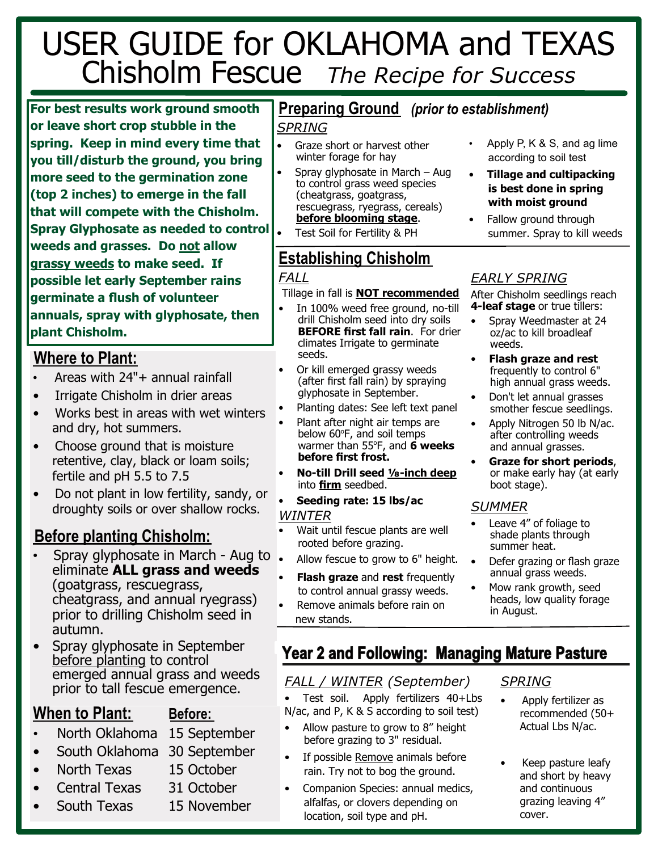# USER GUIDE for OKLAHOMA and TEXAS Chisholm Fescue *The Recipe for Success*

**For best results work ground smooth or leave short crop stubble in the spring. Keep in mind every time that you till/disturb the ground, you bring more seed to the germination zone (top 2 inches) to emerge in the fall that will compete with the Chisholm. Spray Glyphosate as needed to control weeds and grasses. Do not allow grassy weeds to make seed. If possible let early September rains germinate a flush of volunteer annuals, spray with glyphosate, then plant Chisholm.**

# **Where to Plant:**

- Areas with 24"+ annual rainfall
- Irrigate Chisholm in drier areas
- Works best in areas with wet winters and dry, hot summers.
- Choose ground that is moisture retentive, clay, black or loam soils; fertile and pH 5.5 to 7.5
- Do not plant in low fertility, sandy, or droughty soils or over shallow rocks.

# **Before planting Chisholm:**

- Spray glyphosate in March Aug to eliminate **ALL grass and weeds** (goatgrass, rescuegrass, cheatgrass, and annual ryegrass) prior to drilling Chisholm seed in autumn.
- Spray glyphosate in September before planting to control emerged annual grass and weeds prior to tall fescue emergence.

# **When to Plant: Before:**

- North Oklahoma 15 September
- South Oklahoma 30 September
- North Texas 15 October
- Central Texas 31 October
- South Texas 15 November

# **Preparing Ground** *(prior to establishment)*

#### *SPRING*

- Graze short or harvest other winter forage for hay
- Spray glyphosate in March Aug to control grass weed species (cheatgrass, goatgrass, rescuegrass, ryegrass, cereals) **before blooming stage**.
	- Test Soil for Fertility & PH

#### **Establishing Chisholm** *FALL*

# Tillage in fall is **NOT recommended**

- In 100% weed free ground, no-till drill Chisholm seed into dry soils **BEFORE first fall rain**. For drier climates Irrigate to germinate seeds.
- Or kill emerged grassy weeds (after first fall rain) by spraying glyphosate in September.
- Planting dates: See left text panel
- Plant after night air temps are below 60°F, and soil temps warmer than 55°F, and **6 weeks before first frost.**
- **No-till Drill seed ⅛-inch deep** into **firm** seedbed.
- **Seeding rate: 15 lbs/ac** *WINTER*
- Wait until fescue plants are well rooted before grazing.
- Allow fescue to grow to 6" height.
- **Flash graze** and **rest** frequently to control annual grassy weeds.
- Remove animals before rain on new stands.
- Apply P, K & S, and ag lime according to soil test
- **Tillage and cultipacking is best done in spring with moist ground**
- Fallow ground through summer. Spray to kill weeds

### *EARLY SPRING*

After Chisholm seedlings reach **4-leaf stage** or true tillers:

- Spray Weedmaster at 24 oz/ac to kill broadleaf weeds.
- **Flash graze and rest** frequently to control 6" high annual grass weeds.
- Don't let annual grasses smother fescue seedlings.
- Apply Nitrogen 50 lb N/ac. after controlling weeds and annual grasses.
- **Graze for short periods**, or make early hay (at early boot stage).

### *SUMMER*

- Leave 4" of foliage to shade plants through summer heat.
- Defer grazing or flash graze annual grass weeds.
- Mow rank growth, seed heads, low quality forage in August.

# **Year 2 and Following: Managing Mature Pasture**

### *FALL / WINTER (September)*

• Test soil. Apply fertilizers 40+Lbs N/ac, and P, K & S according to soil test)

- Allow pasture to grow to 8" height before grazing to 3" residual.
- If possible Remove animals before rain. Try not to bog the ground.
- Companion Species: annual medics, alfalfas, or clovers depending on location, soil type and pH.

#### *SPRING*

#### • Apply fertilizer as recommended (50+ Actual Lbs N/ac.

• Keep pasture leafy and short by heavy and continuous grazing leaving 4" cover.

- 
-